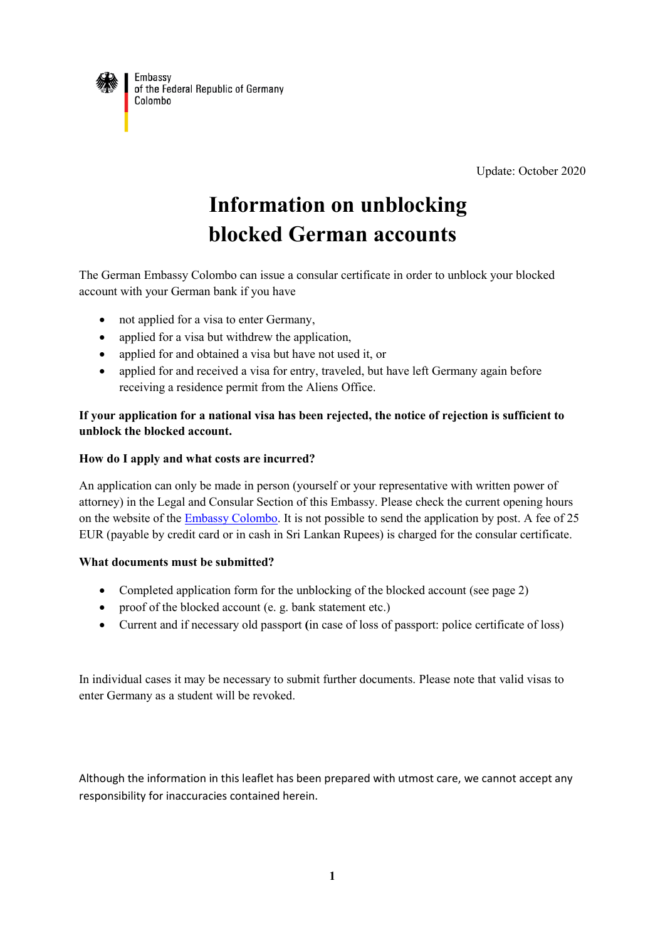

of the Federal Republic of Germany Colombo

Update: October 2020

# **Information on unblocking blocked German accounts**

The German Embassy Colombo can issue a consular certificate in order to unblock your blocked account with your German bank if you have

- not applied for a visa to enter Germany,
- applied for a visa but withdrew the application.
- applied for and obtained a visa but have not used it, or
- applied for and received a visa for entry, traveled, but have left Germany again before receiving a residence permit from the Aliens Office.

## **If your application for a national visa has been rejected, the notice of rejection is sufficient to unblock the blocked account.**

## **How do I apply and what costs are incurred?**

An application can only be made in person (yourself or your representative with written power of attorney) in the Legal and Consular Section of this Embassy. Please check the current opening hours on the website of the **Embassy Colombo**. It is not possible to send the application by post. A fee of 25 EUR (payable by credit card or in cash in Sri Lankan Rupees) is charged for the consular certificate.

#### **What documents must be submitted?**

- Completed application form for the unblocking of the blocked account (see page 2)
- proof of the blocked account (e. g. bank statement etc.)
- Current and if necessary old passport **(**in case of loss of passport: police certificate of loss)

In individual cases it may be necessary to submit further documents. Please note that valid visas to enter Germany as a student will be revoked.

Although the information in this leaflet has been prepared with utmost care, we cannot accept any responsibility for inaccuracies contained herein.